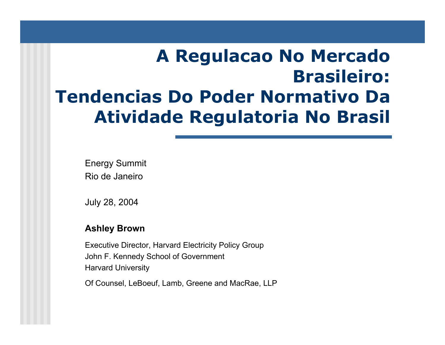# **A Regulacao No Mercado Brasileiro: Tendencias Do Poder Normativo Da Atividade Regulatoria No Brasil**

Energy Summit Rio de Janeiro

July 28, 2004

#### **Ashley Brown**

Executi ve Director, Harvard Electricity Policy Group John F. Kennedy School of Governm ent Harvard University

Of Counsel, LeBoeuf, Lamb, Greene and MacRae, LLP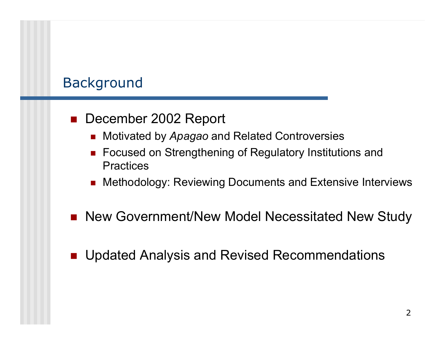### Background

### ■ December 2002 Report

- Motivated by *Apagao* and Related Controversies
- Focused on Strengthening of Regulatory Institutions and **Practices**
- Methodology: Reviewing Documents and Extensive Interviews
- New Government/New Model Necessitated New Study
- $\overline{\phantom{a}}$ Updated Analysis and Revised Recommendations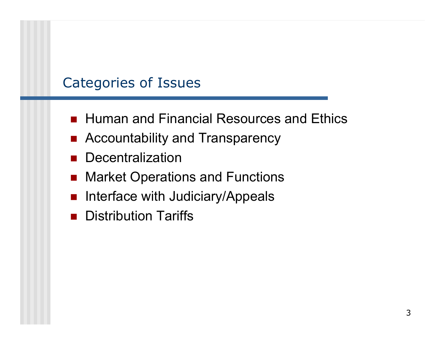### Categories of Issues

- Human and Financial Resources and Ethics
- Accountability and Transparency
- **Decentralization**
- Market Operations and Functions
- **na Interface with Judiciary/Appeals**
- **Distribution Tariffs**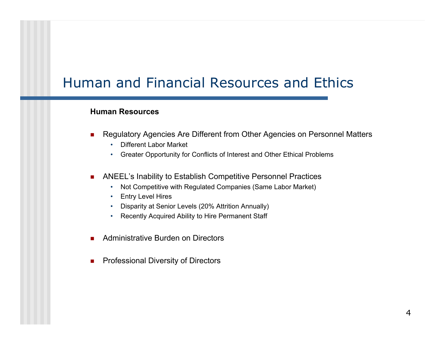### Human and Financial Resources and Ethics

#### **Human Resources**

- П ■ Regulatory Agencies Are Different from Other Agencies on Personnel Matters
	- •Different Labor Market
	- Greater Opportunity for Conflicts of Inter est and Other Ethical Pro blems
- $\mathcal{L}_{\mathcal{A}}$  ANEEL's Inability to Establish Competitive Personnel Practices
	- Not Competitive with Regulated Com panies (Same Labor M arket)
	- •Entry Level Hires
	- Disparity at Senior Levels (20% Attrition Annually)
	- •Recently Acquired Ability to Hire Permanent Staff
- П Administrative Burden on Directors
- П Professional Diversity of Directors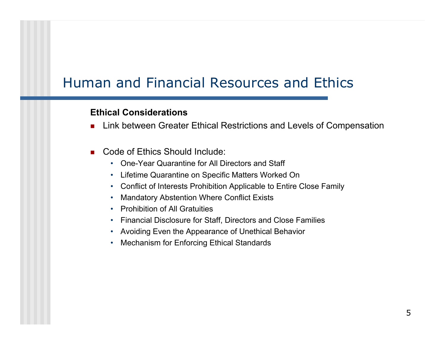### Human and Financial Resources and Ethics

#### **Ethical Considerations**

- П Link between Greater Ethical Restrictions and Levels of Compensation
- Code of Ethics Should Include:
	- One-Year Quarantine for All Directors and Staff
	- Lifetime Quarantine on Specific Matters Worked On
	- Conflict of Interests Prohibition Applicable to Entire Close Family
	- •Mandatory Abstention Where Conflict Exists
	- Prohibition of All Gratuities
	- Financial Disclosure for Staff, Directors and Close Families
	- •Avoiding Even the Appearance of Unethical Behavior
	- Mechanism for Enforcing Ethical Standards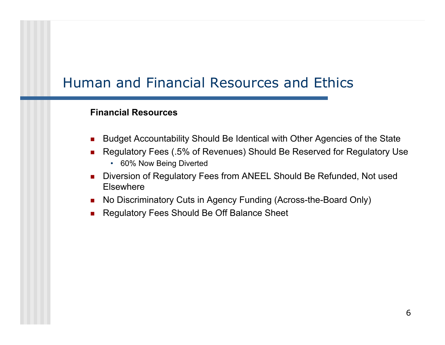### Human and Financial Resources and Ethics

#### **Financial Resources**

- Budget Accountability Should Be Identical with Other Agencies of the State
- Regulatory Fees (.5% of Revenues) Should Be Reserved for Regulatory Use
	- 60% Now Being Diverted
- Diversion of Regulatory Fees from ANEEL Should Be Refunded, Not used Elsewhere
- No Discriminatory Cuts in Agency Funding (Across-the-Board Only)
- Regulatory Fees Should Be Off Balance Sheet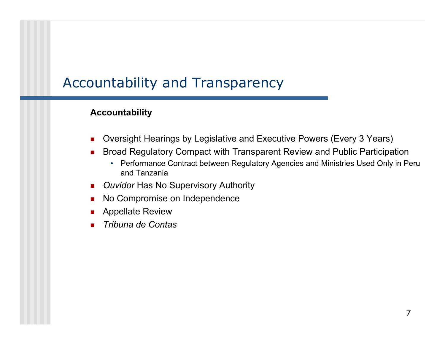### Accountability and Transparency

#### **Acc o u n tability**

- ▉ Oversight Hearings by Legislative and Executive Powers (Every 3 Years)
- П Broad Regulatory Compact with Transparent Review and Public Participation
	- Performance Contract between Regulatory Agencies and Ministries Used Only in Peru and Tanzania
- **D** Ouvidor Has No Supervisory Authority
- П No Compromise on Independence
- **Appellate Review**
- П *Tribuna de Contas*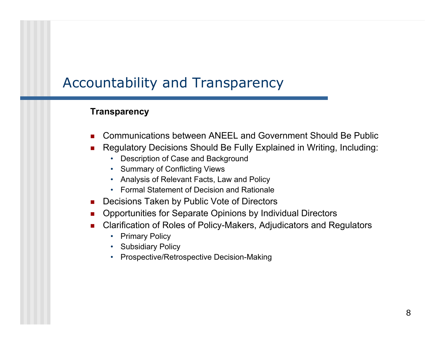### Accountability and Transparency

#### **Transparency**

- Communications between ANEEL and Government Should Be Public
- П ■ Regulatory Decisions Should Be Fully Explained in Writing, Including:
	- Description of Case and Background
	- Summary of Conflicting Views
	- Analysis of Relevant Facts, Law and Policy
	- Formal Statement of Decision and Rationale
- **Decisions Taken by Public Vote of Directors**
- П Opportunities for Separate Opinions by Individual Directors
- ▉ Clarification of Roles of Policy-Makers, Adjudicators and Regulators
	- •Primary Policy
	- Subsidiary Policy
	- Prospecti ve/Retrospecti ve Decision-Making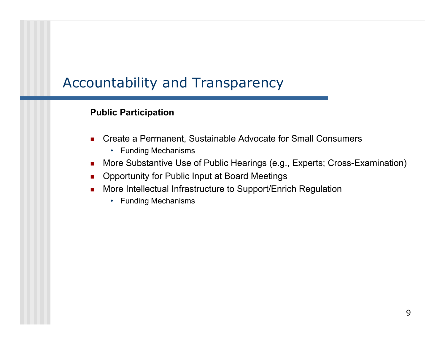### Accountability and Transparency

#### **Public Participation**

- ▉ ■ Create a Permanent, Sustainable Advocate for Small Consumers
	- Funding Mechanisms
- More Substantive Use of Public Hearings (e.g., Experts; Cross-Examination)
- Opportunity for Public Input at Board Meetings
- $\mathcal{L}_{\mathcal{A}}$  More Intellectual Infrastructure to Support/Enrich Regulation
	- Funding Mechanisms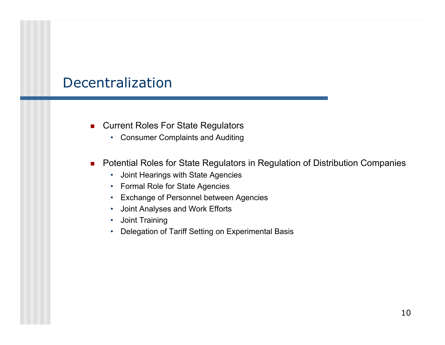### Decentralization

- **EXA** Current Roles For State Regulators
	- Consumer Complaints and Auditing
- Potential Roles for State Regulators in Regulation of Distribution Companies
	- Joint Hearings with State Agencies
	- Formal Role for State Agencies
	- Exchange of Personnel between Agencies
	- •Joint Analyses and Work Efforts
	- •Joint Training
	- •Delegation of Tariff Setting on Experimental Basis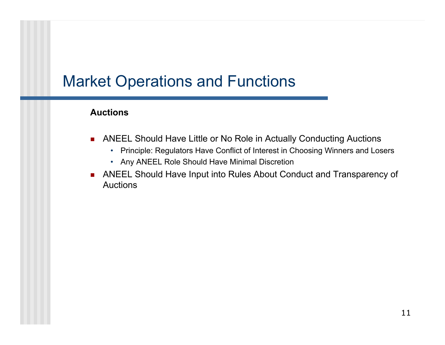#### **Auctions**

- $\mathcal{L}_{\mathcal{A}}$  ANEEL Should Have Little or No Role in Actually Conducting Auctions
	- Principle: Regulators Have Conflict of Interest in Choosing Winners and Losers
	- Any ANEEL Role Should Have Minimal Discretion
- ANEEL Should Have Input into Rules About Conduct and Transparency of Auctions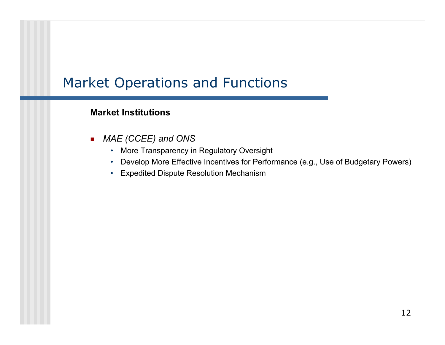#### **Market Institutions**

- $\blacksquare$  *MAE (CCEE) and ONS*
	- More Transparency in Regulatory Oversight
	- Develop More Effective Incentives for Perform ance (e.g., Use of Budgetary Powers)
	- Expedited Dispute Resolution Mechanism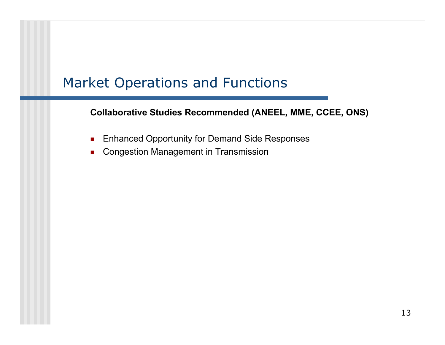**Collaborative Studies Rec ommended (ANEEL, MME, CCEE, ONS)**

- $\mathbf{r}$ Enhanced Opportunity for Demand Side Responses
- $\mathcal{L}_{\mathcal{A}}$ Congestion Management in Transmission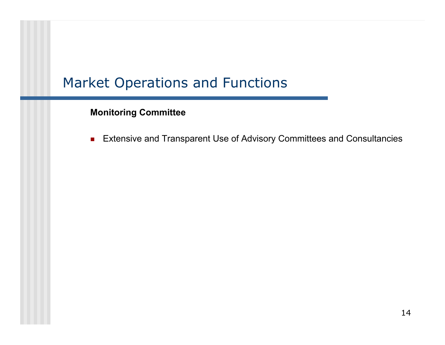#### **Monitoring Committee**

 $\mathcal{L}_{\mathcal{A}}$ Extensive and Transparent Use of Advisory Committees and Consultancies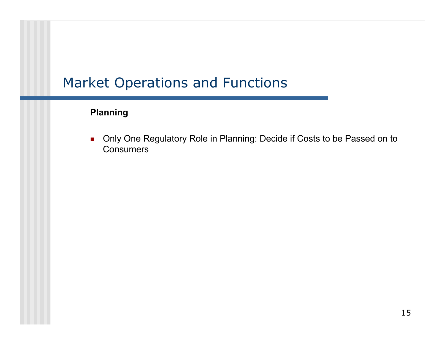### **Planning**

 $\mathcal{L}_{\text{max}}$  Only One Regulatory Role in Planning: Decide if Costs to be Passed on to **Consumers**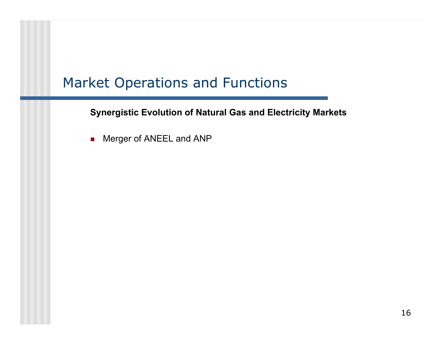**Synergistic Evolution of Natural Gas and Electricity Markets**

 $\mathbf{r}$ Merger of ANEEL and ANP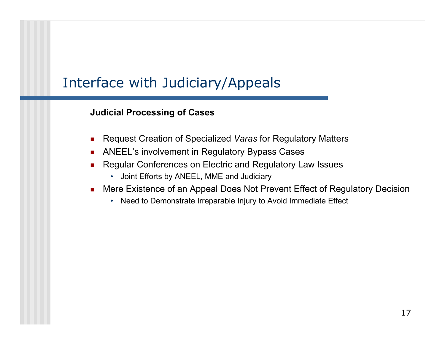### Interface with Judiciary/Appeals

#### **Judicial Processing of Cases**

- ▉ Request Creation of Specialized *Varas* for Regulatory Matters
- П ANEEL's involvement in Regulatory Bypass Cases
- П Regular Conferences on Electric and Regulatory Law Issues
	- •Joi nt Efforts by ANEEL, MME and Judiciary
- П Mere Existence of an Appeal Does Not Prevent Effect of Regulatory Decision
	- Need to Demonstrate Irreparable Injury to Avoid Immediate Effect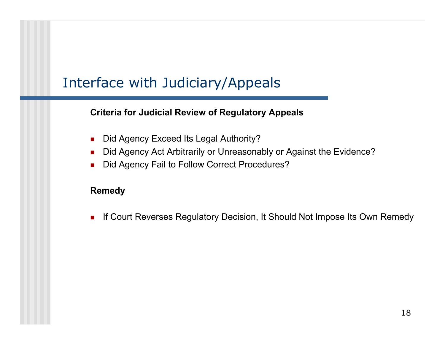### Interface with Judiciary/Appeals

#### **Criteria for Judicial Review of Regulatory Appeals**

- ▉ Did Agency Exceed Its Legal Authority?
- $\mathcal{L}_{\mathcal{A}}$ Did Agency Act Arbitrarily or Unreasonably or Against the Evidence?
- П Did Agency Fail to Follow Correct Procedures?

#### **Remedy**

 $\mathcal{L}_{\rm{max}}$ If Court Reverses Regulatory Decision, It Should Not Impose Its Own Remedy